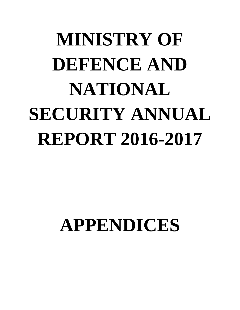# **MINISTRY OF DEFENCE AND NATIONAL SECURITY ANNUAL REPORT 2016-2017**

## **APPENDICES**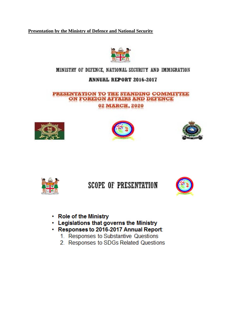**Presentation by the Ministry of Defence and National Security** 



## MINISTRY OF DEFENCE, NATIONAL SECURITY AND IMMIGRATION

## **ANNUAL REPORT 2016-2017**

#### PRESENTATION TO THE STANDING COMMITTEE ON FOREIGN AFFAIRS AND DEFENCE **02 MARCH, 2020**









## **SCOPE OF PRESENTATION**



- Role of the Ministry
- Legislations that governs the Ministry
- · Responses to 2016-2017 Annual Report:
	- 1. Responses to Substantive Questions
	- 2. Responses to SDGs Related Questions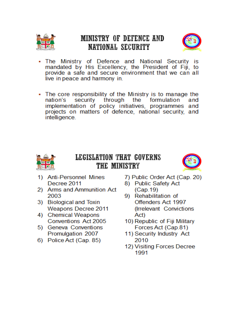

## MINISTRY OF DEFENCE AND NATIONAL SECURITY



- The Ministry of Defence and National Security is mandated by His Excellency, the President of Fiji, to provide a safe and secure environment that we can all live in peace and harmony in.
- The core responsibility of the Ministry is to manage the nation's security through the formulation and implementation of policy initiatives, programmes and projects on matters of defence, national security, and intelligence.



## LEGISLATION THAT GOVERNS THE MINISTRY



- 1) Anti-Personnel Mines Decree 2011
- 2) Arms and Ammunition Act 2003
- 3) Biological and Toxin **Weapons Decree 2011**
- 4) Chemical Weapons Conventions Act 2005
- 5) Geneva Conventions Promulgation 2007
- 6) Police Act (Cap. 85)
- 7) Public Order Act (Cap. 20)
- 8) Public Safety Act  $(Cap.19)$
- 9) Rehabilitation of Offenders Act 1997 (Irrelevant Convictions Act)
- 10) Republic of Fiji Military Forces Act (Cap.81)
- 11) Security Industry Act 2010
- 12) Visiting Forces Decree 1991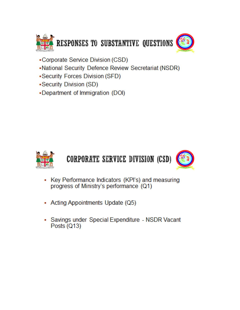

- •Corporate Service Division (CSD)
- -National Security Defence Review Secretariat (NSDR)
- -Security Forces Division (SFD)
- -Security Division (SD)
- -Department of Immigration (DOI)



## CORPORATE SERVICE DIVISION (CSD)



- Key Performance Indicators (KPI's) and measuring progress of Ministry's performance (Q1)
- Acting Appointments Update (Q5)
- Savings under Special Expenditure NSDR Vacant Posts  $(Q13)$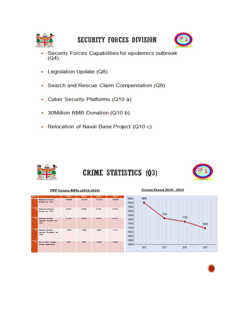

## SECURITY FORCES DIVISION



- Security Forces Capabilities for epidemics outbreak  $(Q4)$
- Legislation Update (Q8)
- Search and Rescue Claim Compensation (Q9)
- Cyber Security Platforms (Q10 a)
- 30Million RMB Donation (Q10 b)  $\blacksquare$
- Relocation of Naval Base Project (Q10 c)



## CRIME STATISTICS (Q3)



#### FPF Crime KPIs (2016-2019)

| 344                      |                                                                         | 2010        | 2017       | 2010   | 2011   |
|--------------------------|-------------------------------------------------------------------------|-------------|------------|--------|--------|
| п                        | Residence Connecti.<br>Cirieres by 1076                                 | 19,590      | 10,120     | 17,778 | 10,839 |
| ÷                        | <b>Realizes Testima</b><br>Crimes by 1076                               | 2,26%       | 2,000      | 2,279  | 2,723  |
|                          | <b>September Colores</b><br>against Wessex by<br>3000                   | 2.122       | 3,003      | 2,58%  | 2,710  |
| $\overline{\phantom{a}}$ | <b><i><u>Registrate Colomnia</u></i></b><br>against Children by<br>3000 | 1,110       | 1,000      | 1,000  | 1,141  |
|                          | No. of God sloves.<br>masses registered.                                | <b>BOLL</b> | <b>CED</b> | 1,000  | 1,222  |



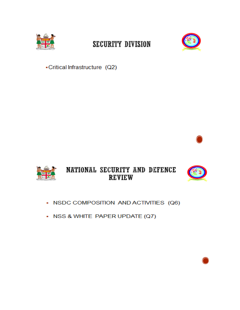

## **SECURITY DIVISION**



-Critical Infrastructure (Q2)



## NATIONAL SECURITY AND DEFENCE **REVIEW**



- NSDC COMPOSITION AND ACTIVITIES (Q6)
- NSS & WHITE PAPER UPDATE (Q7)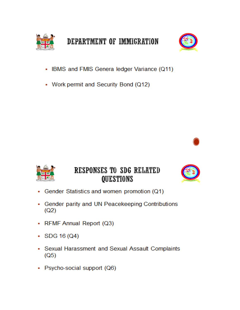



- IBMS and FMIS Genera ledger Variance (Q11)
- Work permit and Security Bond (Q12)





## RESPONSES TO SDG RELATED **QUESTIONS**



- Gender Statistics and women promotion (Q1) ٠
- Gender parity and UN Peacekeeping Contributions  $(Q2)$
- RFMF Annual Report (Q3)
- $\cdot$  SDG 16 (Q4)
- Sexual Harassment and Sexual Assault Complaints  $(Q5)$
- Psycho-social support (Q6)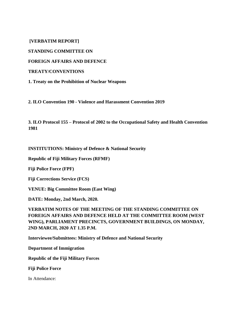**[VERBATIM REPORT]** 

**STANDING COMMITTEE ON** 

**FOREIGN AFFAIRS AND DEFENCE** 

**TREATY/CONVENTIONS** 

**1. Treaty on the Prohibition of Nuclear Weapons** 

**2. ILO Convention 190 - Violence and Harassment Convention 2019** 

**3. ILO Protocol 155 – Protocol of 2002 to the Occupational Safety and Health Convention 1981** 

**INSTITUTIONS: Ministry of Defence & National Security** 

**Republic of Fiji Military Forces (RFMF)** 

**Fiji Police Force (FPF)** 

**Fiji Corrections Service (FCS)** 

**VENUE: Big Committee Room (East Wing)** 

**DATE: Monday, 2nd March, 2020.**

**VERBATIM NOTES OF THE MEETING OF THE STANDING COMMITTEE ON FOREIGN AFFAIRS AND DEFENCE HELD AT THE COMMITTEE ROOM (WEST WING), PARLIAMENT PRECINCTS, GOVERNMENT BUILDINGS, ON MONDAY, 2ND MARCH, 2020 AT 1.35 P.M.** 

**Interviewee/Submittees: Ministry of Defence and National Security** 

**Department of Immigration** 

**Republic of the Fiji Military Forces** 

**Fiji Police Force** 

In Attendance: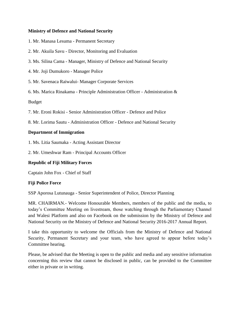#### **Ministry of Defence and National Security**

1. Mr. Manasa Lesuma - Permanent Secretary

- 2. Mr. Akuila Savu Director, Monitoring and Evaluation
- 3. Ms. Silina Cama Manager, Ministry of Defence and National Security
- 4. Mr. Joji Dumukoro Manager Police
- 5. Mr. Savenaca Raiwalui- Manager Corporate Services
- 6. Ms. Marica Rinakama Principle Administration Officer Administration &

Budget

- 7. Mr. Eroni Rokisi Senior Administration Officer Defence and Police
- 8. Mr. Lorima Sautu Administration Officer Defence and National Security

#### **Department of Immigration**

- 1. Ms. Litia Saumaka Acting Assistant Director
- 2. Mr. Umeshwar Ram Principal Accounts Officer

#### **Republic of Fiji Military Forces**

Captain John Fox - Chief of Staff

#### **Fiji Police Force**

SSP Aporosa Lutunauga - Senior Superintendent of Police, Director Planning

MR. CHAIRMAN.- Welcome Honourable Members, members of the public and the media, to today's Committee Meeting on livestream, those watching through the Parliamentary Channel and Walesi Platform and also on Facebook on the submission by the Ministry of Defence and National Security on the Ministry of Defence and National Security 2016-2017 Annual Report.

I take this opportunity to welcome the Officials from the Ministry of Defence and National Security, Permanent Secretary and your team, who have agreed to appear before today's Committee hearing.

Please, be advised that the Meeting is open to the public and media and any sensitive information concerning this review that cannot be disclosed in public, can be provided to the Committee either in private or in writing.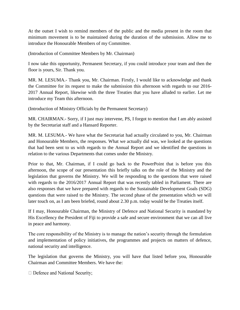At the outset I wish to remind members of the public and the media present in the room that minimum movement is to be maintained during the duration of the submission. Allow me to introduce the Honourable Members of my Committee.

(Introduction of Committee Members by Mr. Chairman)

I now take this opportunity, Permanent Secretary, if you could introduce your team and then the floor is yours, Sir. Thank you.

MR. M. LESUMA.- Thank you, Mr. Chairman. Firstly, I would like to acknowledge and thank the Committee for its request to make the submission this afternoon with regards to our 2016- 2017 Annual Report, likewise with the three Treaties that you have alluded to earlier. Let me introduce my Team this afternoon.

(Introduction of Ministry Officials by the Permanent Secretary)

MR. CHAIRMAN.- Sorry, if I just may intervene, PS, I forgot to mention that I am ably assisted by the Secretariat staff and a Hansard Reporter.

MR. M. LESUMA.- We have what the Secretariat had actually circulated to you, Mr. Chairman and Honourable Members, the responses. What we actually did was, we looked at the questions that had been sent to us with regards to the Annual Report and we identified the questions in relation to the various Departments that comes under the Ministry.

Prior to that, Mr. Chairman, if I could go back to the PowerPoint that is before you this afternoon, the scope of our presentation this briefly talks on the role of the Ministry and the legislation that governs the Ministry. We will be responding to the questions that were raised with regards to the 2016/2017 Annual Report that was recently tabled in Parliament. There are also responses that we have prepared with regards to the Sustainable Development Goals (SDG) questions that were raised to the Ministry. The second phase of the presentation which we will later touch on, as I am been briefed, round about 2.30 p.m. today would be the Treaties itself.

If I may, Honourable Chairman, the Ministry of Defence and National Security is mandated by His Excellency the President of Fiji to provide a safe and secure environment that we can all live in peace and harmony.

The core responsibility of the Ministry is to manage the nation's security through the formulation and implementation of policy initiatives, the programmes and projects on matters of defence, national security and intelligence.

The legislation that governs the Ministry, you will have that listed before you, Honourable Chairman and Committee Members. We have the:

 $\Box$  Defence and National Security;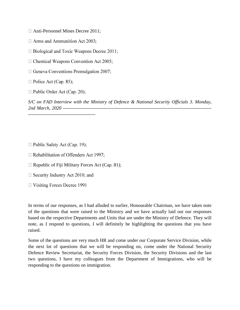$\Box$  Anti-Personnel Mines Decree 2011;

 $\Box$  Arms and Ammunition Act 2003;

 $\Box$  Biological and Toxic Weapons Decree 2011;

 $\Box$  Chemical Weapons Convention Act 2005;

 $\Box$  Geneva Conventions Promulgation 2007;

 $\Box$  Police Act (Cap. 85);

 $\Box$  Public Order Act (Cap. 20);

*S/C on FAD Interview with the Ministry of Defence & National Security Officials 3. Monday, 2nd March, 2020* -----------------------------------------------------------------------------------------------

- $\Box$  Public Safety Act (Cap. 19);
- $\Box$  Rehabilitation of Offenders Act 1997;
- $\Box$  Republic of Fiji Military Forces Act (Cap. 81);
- $\Box$  Security Industry Act 2010; and
- $\Box$  Visiting Forces Decree 1991

In terms of our responses, as I had alluded to earlier, Honourable Chairman, we have taken note of the questions that were raised to the Ministry and we have actually laid out our responses based on the respective Departments and Units that are under the Ministry of Defence. They will note, as I respond to questions, I will definitely be highlighting the questions that you have raised.

Some of the questions are very much HR and come under our Corporate Service Division, while the next lot of questions that we will be responding on, come under the National Security Defence Review Secretariat, the Security Forces Division, the Security Divisions and the last two questions, I have my colleagues from the Department of Immigrations, who will be responding to the questions on immigration.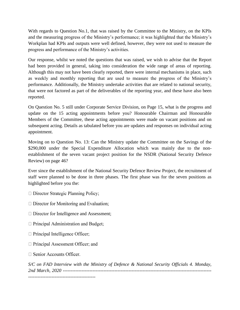With regards to Question No.1, that was raised by the Committee to the Ministry, on the KPIs and the measuring progress of the Ministry's performance; it was highlighted that the Ministry's Workplan had KPIs and outputs were well defined, however, they were not used to measure the progress and performance of the Ministry's activities.

Our response, whilst we noted the questions that was raised, we wish to advise that the Report had been provided in general, taking into consideration the wide range of areas of reporting. Although this may not have been clearly reported, there were internal mechanisms in place, such as weekly and monthly reporting that are used to measure the progress of the Ministry's performance. Additionally, the Ministry undertake activities that are related to national security, that were not factored as part of the deliverables of the reporting year, and these have also been reported.

On Question No. 5 still under Corporate Service Division, on Page 15, what is the progress and update on the 15 acting appointments before you? Honourable Chairman and Honourable Members of the Committee, these acting appointments were made on vacant positions and on subsequent acting. Details as tabulated before you are updates and responses on individual acting appointment.

Moving on to Question No. 13: Can the Ministry update the Committee on the Savings of the \$290,000 under the Special Expenditure Allocation which was mainly due to the nonestablishment of the seven vacant project position for the NSDR (National Security Defence Review) on page 46?

Ever since the establishment of the National Security Defence Review Project, the recruitment of staff were planned to be done in three phases. The first phase was for the seven positions as highlighted before you the:

- □ Director Strategic Planning Policy;
- $\Box$  Director for Monitoring and Evaluation;
- $\Box$  Director for Intelligence and Assessment;
- $\Box$  Principal Administration and Budget;
- $\Box$  Principal Intelligence Officer;
- $\Box$  Principal Assessment Officer; and
- □ Senior Accounts Officer.

*S/C on FAD Interview with the Ministry of Defence & National Security Officials 4. Monday, 2nd March, 2020* -----------------------------------------------------------------------------------------------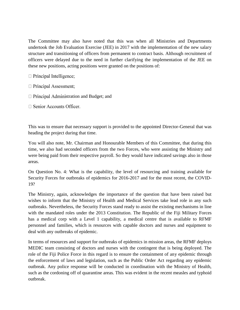The Committee may also have noted that this was when all Ministries and Departments undertook the Job Evaluation Exercise (JEE) in 2017 with the implementation of the new salary structure and transitioning of officers from permanent to contract basis. Although recruitment of officers were delayed due to the need in further clarifying the implementation of the JEE on these new positions, acting positions were granted on the positions of:

- $\Box$  Principal Intelligence;
- $\Box$  Principal Assessment;
- $\Box$  Principal Administration and Budget; and
- $\Box$  Senior Accounts Officer.

This was to ensure that necessary support is provided to the appointed Director-General that was heading the project during that time.

You will also note, Mr. Chairman and Honourable Members of this Committee, that during this time, we also had seconded officers from the two Forces, who were assisting the Ministry and were being paid from their respective payroll. So they would have indicated savings also in those areas.

On Question No. 4: What is the capability, the level of resourcing and training available for Security Forces for outbreaks of epidemics for 2016-2017 and for the most recent, the COVID-19?

The Ministry, again, acknowledges the importance of the question that have been raised but wishes to inform that the Ministry of Health and Medical Services take lead role in any such outbreaks. Nevertheless, the Security Forces stand ready to assist the existing mechanisms in line with the mandated roles under the 2013 Constitution. The Republic of the Fiji Military Forces has a medical corp with a Level 1 capability, a medical centre that is available to RFMF personnel and families, which is resources with capable doctors and nurses and equipment to deal with any outbreaks of epidemic.

In terms of resources and support for outbreaks of epidemics in mission areas, the RFMF deploys MEDIC team consisting of doctors and nurses with the contingent that is being deployed. The role of the Fiji Police Force in this regard is to ensure the containment of any epidemic through the enforcement of laws and legislation, such as the Public Order Act regarding any epidemic outbreak. Any police response will be conducted in coordination with the Ministry of Health, such as the cordoning off of quarantine areas. This was evident in the recent measles and typhoid outbreak.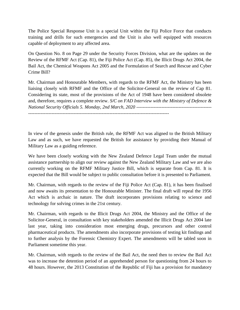The Police Special Response Unit is a special Unit within the Fiji Police Force that conducts training and drills for such emergencies and the Unit is also well equipped with resources capable of deployment to any affected area.

On Question No. 8 on Page 29 under the Security Forces Division, what are the updates on the Review of the RFMF Act (Cap. 81), the Fiji Police Act (Cap. 85), the Illicit Drugs Act 2004, the Bail Act, the Chemical Weapons Act 2005 and the Formulation of Search and Rescue and Cyber Crime Bill?

Mr. Chairman and Honourable Members, with regards to the RFMF Act, the Ministry has been liaising closely with RFMF and the Office of the Solicitor-General on the review of Cap 81. Considering its state, most of the provisions of the Act of 1948 have been considered obsolete and, therefore, requires a complete review. *S/C on FAD Interview with the Ministry of Defence & National Security Officials 5. Monday, 2nd March, 2020* ------------------------------------------------

------------------------------------------------------------------------------------------

In view of the genesis under the British rule, the RFMF Act was aligned to the British Military Law and as such, we have requested the British for assistance by providing their Manual of Military Law as a guiding reference.

We have been closely working with the New Zealand Defence Legal Team under the mutual assistance partnership to align our review against the New Zealand Military Law and we are also currently working on the RFMF Military Justice Bill, which is separate from Cap. 81. It is expected that the Bill would be subject to public consultation before it is presented to Parliament.

Mr. Chairman, with regards to the review of the Fiji Police Act (Cap. 81), it has been finalised and now awaits its presentation to the Honourable Minister. The final draft will repeal the 1956 Act which is archaic in nature. The draft incorporates provisions relating to science and technology for solving crimes in the 21st century.

Mr. Chairman, with regards to the Illicit Drugs Act 2004, the Ministry and the Office of the Solicitor-General, in consultation with key stakeholders amended the Illicit Drugs Act 2004 late last year, taking into consideration most emerging drugs, precursors and other control pharmaceutical products. The amendments also incorporate provisions of testing kit findings and to further analysis by the Forensic Chemistry Expert. The amendments will be tabled soon in Parliament sometime this year.

Mr. Chairman, with regards to the review of the Bail Act, the need then to review the Bail Act was to increase the detention period of an apprehended person for questioning from 24 hours to 48 hours. However, the 2013 Constitution of the Republic of Fiji has a provision for mandatory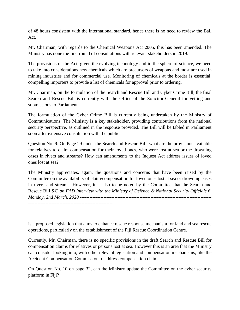of 48 hours consistent with the international standard, hence there is no need to review the Bail Act.

Mr. Chairman, with regards to the Chemical Weapons Act 2005, this has been amended. The Ministry has done the first round of consultations with relevant stakeholders in 2019.

The provisions of the Act, given the evolving technology and in the sphere of science, we need to take into considerations new chemicals which are precursors of weapons and most are used in mining industries and for commercial use. Monitoring of chemicals at the border is essential, compelling importers to provide a list of chemicals for approval prior to ordering.

Mr. Chairman, on the formulation of the Search and Rescue Bill and Cyber Crime Bill, the final Search and Rescue Bill is currently with the Office of the Solicitor-General for vetting and submissions to Parliament.

The formulation of the Cyber Crime Bill is currently being undertaken by the Ministry of Communications. The Ministry is a key stakeholder, providing contributions from the national security perspective, as outlined in the response provided. The Bill will be tabled in Parliament soon after extensive consultation with the public.

Question No. 9: On Page 29 under the Search and Rescue Bill, what are the provisions available for relatives to claim compensation for their loved ones, who were lost at sea or the drowning cases in rivers and streams? How can amendments to the Inquest Act address issues of loved ones lost at sea?

The Ministry appreciates, again, the questions and concerns that have been raised by the Committee on the availability of claim/compensation for loved ones lost at sea or drowning cases in rivers and streams. However, it is also to be noted by the Committee that the Search and Rescue Bill *S/C on FAD Interview with the Ministry of Defence & National Security Officials 6. Monday, 2nd March, 2020* ------------------------------------------------------------------------------------ ------------------------------------------------------

is a proposed legislation that aims to enhance rescue response mechanism for land and sea rescue

operations, particularly on the establishment of the Fiji Rescue Coordination Centre. Currently, Mr. Chairman, there is no specific provisions in the draft Search and Rescue Bill for

compensation claims for relatives or persons lost at sea. However this is an area that the Ministry can consider looking into, with other relevant legislation and compensation mechanisms, like the Accident Compensation Commission to address compensation claims.

On Question No. 10 on page 32, can the Ministry update the Committee on the cyber security platform in Fiji?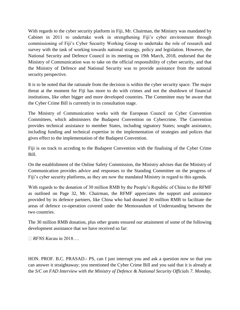With regards to the cyber security platform in Fiji, Mr. Chairman, the Ministry was mandated by Cabinet in 2011 to undertake work in strengthening Fiji's cyber environment through commissioning of Fiji's Cyber Security Working Group to undertake the role of research and survey with the task of working towards national strategy, policy and legislation. However, the National Security and Defence Council in its meeting on 19th March, 2018, endorsed that the Ministry of Communication was to take on the official responsibility of cyber security, and that the Ministry of Defence and National Security was to provide assistance from the national security perspective.

It is to be noted that the rationale from the decision is within the cyber security space. The major threat at the moment for Fiji has more to do with crimes and not the shutdown of financial institutions, like other bigger and more developed countries. The Committee may be aware that the Cyber Crime Bill is currently in its consultation stage.

The Ministry of Communication works with the European Council on Cyber Convention Committees, which administers the Budapest Convention on Cybercrime. The Convention provides technical assistance to member States, including signatory States; sought assistance, including funding and technical expertise in the implementation of strategies and polices that gives effect to the implementation of the Budapest Convention.

Fiji is on track to acceding to the Budapest Convention with the finalising of the Cyber Crime Bill.

On the establishment of the Online Safety Commission, the Ministry advises that the Ministry of Communication provides advice and responses to the Standing Committee on the progress of Fiji's cyber security platforms, as they are now the mandated Ministry in regard to this agenda.

With regards to the donation of 30 million RMB by the People's Republic of China to the RFMF as outlined on Page 32, Mr. Chairman, the RFMF appreciates the support and assistance provided by its defence partners, like China who had donated 30 million RMB to facilitate the areas of defence co-operation covered under the Memorandum of Understanding between the two countries.

The 30 million RMB donation, plus other grants ensured our attainment of some of the following development assistance that we have received so far:

*RFNS Kacau* in 2018….

HON. PROF. B.C. PRASAD.- PS, can I just interrupt you and ask a question now so that you can answer it straightaway; you mentioned the Cyber Crime Bill and you said that it is already at the *S/C on FAD Interview with the Ministry of Defence & National Security Officials 7. Monday,*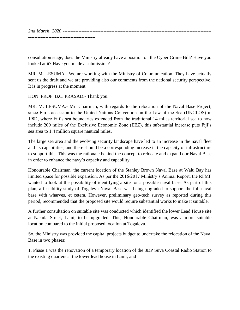*2nd March, 2020* ----------------------------------------------------------------------------------------------- -------------------------------------------

consultation stage, does the Ministry already have a position on the Cyber Crime Bill? Have you looked at it? Have you made a submission?

MR. M. LESUMA.- We are working with the Ministry of Communication. They have actually sent us the draft and we are providing also our comments from the national security perspective. It is in progress at the moment.

HON. PROF. B.C. PRASAD.- Thank you.

MR. M. LESUMA.- Mr. Chairman, with regards to the relocation of the Naval Base Project, since Fiji's accession to the United Nations Convention on the Law of the Sea (UNCLOS) in 1982, where Fiji's sea boundaries extended from the traditional 14 miles territorial sea to now include 200 miles of the Exclusive Economic Zone (EEZ), this substantial increase puts Fiji's sea area to 1.4 million square nautical miles.

The large sea area and the evolving security landscape have led to an increase in the naval fleet and its capabilities, and there should be a corresponding increase in the capacity of infrastructure to support this. This was the rationale behind the concept to relocate and expand our Naval Base in order to enhance the navy's capacity and capability.

Honourable Chairman, the current location of the Stanley Brown Naval Base at Walu Bay has limited space for possible expansion. As per the 2016/2017 Ministry's Annual Report, the RFMF wanted to look at the possibility of identifying a site for a possible naval base. As part of this plan, a feasibility study of Togalevu Naval Base was being upgraded to support the full naval base with wharves, et cetera. However, preliminary geo-tech survey as reported during this period, recommended that the proposed site would require substantial works to make it suitable.

A further consultation on suitable site was conducted which identified the lower Lead House site at Nakula Street, Lami, to be upgraded. This, Honourable Chairman, was a more suitable location compared to the initial proposed location at Togalevu.

So, the Ministry was provided the capital projects budget to undertake the relocation of the Naval Base in two phases:

1. Phase 1 was the renovation of a temporary location of the 3DP Suva Coastal Radio Station to the existing quarters at the lower lead house in Lami; and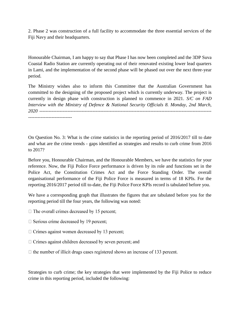2. Phase 2 was construction of a full facility to accommodate the three essential services of the Fiji Navy and their headquarters.

Honourable Chairman, I am happy to say that Phase I has now been completed and the 3DP Suva Coastal Radio Station are currently operating out of their renovated existing lower lead quarters in Lami, and the implementation of the second phase will be phased out over the next three-year period.

The Ministry wishes also to inform this Committee that the Australian Government has committed to the designing of the proposed project which is currently underway. The project is currently in design phase with construction is planned to commence in 2021. *S/C on FAD Interview with the Ministry of Defence & National Security Officials 8. Monday, 2nd March, 2020* --------------------------------------------------------------------------------------------------------------

On Question No. 3: What is the crime statistics in the reporting period of 2016/2017 till to date and what are the crime trends - gaps identified as strategies and results to curb crime from 2016 to 2017?

Before you, Honourable Chairman, and the Honourable Members, we have the statistics for your reference. Now, the Fiji Police Force performance is driven by its role and functions set in the Police Act, the Constitution Crimes Act and the Force Standing Order. The overall organisational performance of the Fiji Police Force is measured in terms of 18 KPIs. For the reporting 2016/2017 period till to-date, the Fiji Police Force KPIs record is tabulated before you.

We have a corresponding graph that illustrates the figures that are tabulated before you for the reporting period till the four years, the following was noted:

- $\Box$  The overall crimes decreased by 15 percent;
- $\Box$  Serious crime decreased by 19 percent;
- $\Box$  Crimes against women decreased by 13 percent;
- $\Box$  Crimes against children decreased by seven percent; and
- $\Box$  the number of illicit drugs cases registered shows an increase of 133 percent.

Strategies to curb crime; the key strategies that were implemented by the Fiji Police to reduce crime in this reporting period, included the following: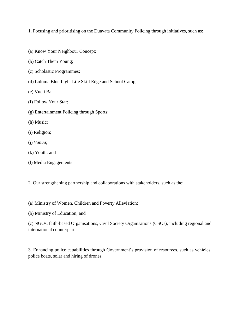1. Focusing and prioritising on the Duavata Community Policing through initiatives, such as:

- (a) Know Your Neighbour Concept;
- (b) Catch Them Young;
- (c) Scholastic Programmes;
- (d) Loloma Blue Light Life Skill Edge and School Camp;
- (e) Vueti Ba;
- (f) Follow Your Star;
- (g) Entertainment Policing through Sports;
- (h) Music;
- (i) Religion;
- (j) *Vanua*;
- (k) Youth; and
- (l) Media Engagements

2. Our strengthening partnership and collaborations with stakeholders, such as the:

- (a) Ministry of Women, Children and Poverty Alleviation;
- (b) Ministry of Education; and

(c) NGOs, faith-based Organisations, Civil Society Organisations (CSOs), including regional and international counterparts.

3. Enhancing police capabilities through Government's provision of resources, such as vehicles, police boats, solar and hiring of drones.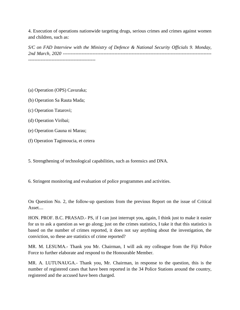4. Execution of operations nationwide targeting drugs, serious crimes and crimes against women and children, such as:

*S/C on FAD Interview with the Ministry of Defence & National Security Officials 9. Monday, 2nd March, 2020* ----------------------------------------------------------------------------------------------- -------------------------------------------

- (a) Operation (OPS) Cavuraka;
- (b) Operation Sa Rauta Mada;
- (c) Operation Tatarovi;
- (d) Operation Viribai;
- (e) Operation Gauna ni Marau;
- (f) Operation Tagimoucia, et cetera

5. Strengthening of technological capabilities, such as forensics and DNA.

6. Stringent monitoring and evaluation of police programmes and activities.

On Question No. 2, the follow-up questions from the previous Report on the issue of Critical Asset....

HON. PROF. B.C. PRASAD.- PS, if I can just interrupt you, again, I think just to make it easier for us to ask a question as we go along; just on the crimes statistics, I take it that this statistics is based on the number of crimes reported, it does not say anything about the investigation, the conviction, so these are statistics of crime reported?

MR. M. LESUMA.- Thank you Mr. Chairman, I will ask my colleague from the Fiji Police Force to further elaborate and respond to the Honourable Member.

MR. A. LUTUNAUGA.- Thank you, Mr. Chairman, in response to the question, this is the number of registered cases that have been reported in the 34 Police Stations around the country, registered and the accused have been charged.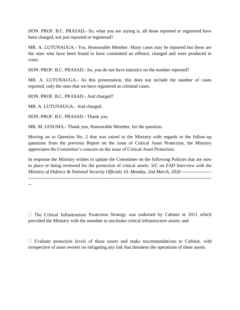HON. PROF. B.C. PRASAD.- So, what you are saying is, all those reported or registered have been charged, not just reported or registered?

MR. A. LUTUNAUGA.- Yes, Honourable Member. Many cases may be reported but these are the ones who have been found to have committed an offence, charged and were produced in court.

HON. PROF. B.C. PRASAD.- So, you do not have statistics on the number reported?

MR. A. LUTUNAUGA.- As this presentation, this does not include the number of cases reported, only the ones that we have registered as criminal cases.

HON. PROF. B.C. PRASAD.- And charged?

MR. A. LUTUNAUGA.- And charged.

HON. PROF. B.C. PRASAD.- Thank you.

MR. M. LESUMA.- Thank you, Honourable Member, for the question.

Moving on to Question No. 2 that was raised to the Ministry with regards to the follow-up questions from the previous Report on the issue of Critical Asset Protection, the Ministry appreciates the Committee's concern on the issue of Critical Asset Protection.

In response the Ministry wishes to update the Committee on the following Policies that are now in place or being reviewed for the protection of critical assets: *S/C on FAD Interview with the Ministry of Defence & National Security Officials 10. Monday, 2nd March, 2020* -------------------

---------------------------------------------------------------------------------------------------------------------

--

 $\Box$  The Critical Infrastructure Protection Strategy was endorsed by Cabinet in 2011 which provided the Ministry with the mandate to stocktake critical infrastructure assets; and

 $\Box$  Evaluate protection levels of these assets and make recommendations to Cabinet, with irrespective of asset owners on mitigating any risk that threatens the operations of these assets.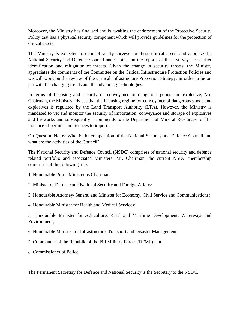Moreover, the Ministry has finalised and is awaiting the endorsement of the Protective Security Policy that has a physical security component which will provide guidelines for the protection of critical assets.

The Ministry is expected to conduct yearly surveys for these critical assets and appraise the National Security and Defence Council and Cabinet on the reports of these surveys for earlier identification and mitigation of threats. Given the change in security threats, the Ministry appreciates the comments of the Committee on the Critical Infrastructure Protection Policies and we will work on the review of the Critical Infrastructure Protection Strategy, in order to be on par with the changing trends and the advancing technologies.

In terms of licensing and security on conveyance of dangerous goods and explosive, Mr. Chairman, the Ministry advises that the licensing regime for conveyance of dangerous goods and explosives is regulated by the Land Transport Authority (LTA). However, the Ministry is mandated to vet and monitor the security of importation, conveyance and storage of explosives and fireworks and subsequently recommends to the Department of Mineral Resources for the issuance of permits and licences to import.

On Question No. 6: What is the composition of the National Security and Defence Council and what are the activities of the Council?

The National Security and Defence Council (NSDC) comprises of national security and defence related portfolio and associated Ministers. Mr. Chairman, the current NSDC membership comprises of the following, the:

- 1. Honourable Prime Minister as Chairman;
- 2. Minister of Defence and National Security and Foreign Affairs;
- 3. Honourable Attorney-General and Minister for Economy, Civil Service and Communications;
- 4. Honourable Minister for Health and Medical Services;

5. Honourable Minister for Agriculture, Rural and Maritime Development, Waterways and Environment;

- 6. Honourable Minister for Infrastructure, Transport and Disaster Management;
- 7. Commander of the Republic of the Fiji Military Forces (RFMF); and
- 8. Commissioner of Police.

The Permanent Secretary for Defence and National Security is the Secretary to the NSDC.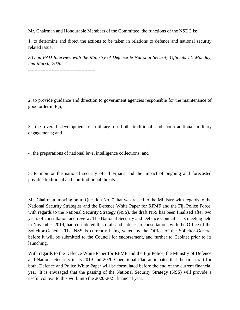Mr. Chairman and Honourable Members of the Committee, the functions of the NSDC is:

1. to determine and direct the actions to be taken in relations to defence and national security related issue;

*S/C on FAD Interview with the Ministry of Defence & National Security Officials 11. Monday, 2nd March, 2020* -----------------------------------------------------------------------------------------------

2. to provide guidance and direction to government agencies responsible for the maintenance of good order in Fiji;

3. the overall development of military on both traditional and non-traditional military engagements; and

4. the preparations of national level intelligence collections; and

5. to monitor the national security of all Fijians and the impact of ongoing and forecasted possible traditional and non-traditional threats.

Mr. Chairman, moving on to Question No. 7 that was raised to the Ministry with regards to the National Security Strategies and the Defence White Paper for RFMF and the Fiji Police Force, with regards to the National Security Strategy (NSS), the draft NSS has been finalised after two years of consultation and review. The National Security and Defence Council at its meeting held in November 2019, had considered this draft and subject to consultations with the Office of the Solicitor-General. The NSS is currently being vetted by the Office of the Solicitor-General before it will be submitted to the Council for endorsement, and further to Cabinet prior to its launching.

With regards to the Defence White Paper for RFMF and the Fiji Police, the Ministry of Defence and National Security in its 2019 and 2020 Operational Plan anticipates that the first draft for both, Defence and Police White Paper will be formulated before the end of the current financial year. It is envisaged that the passing of the National Security Strategy (NSS) will provide a useful context to this work into the 2020-2021 financial year.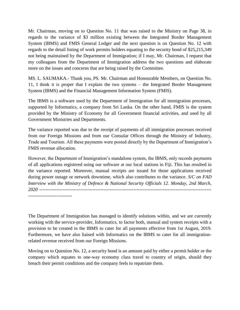Mr. Chairman, moving on to Question No. 11 that was raised to the Ministry on Page 38, in regards to the variance of \$3 million existing between the Integrated Border Management System (IBMS) and FMIS General Ledger and the next question is on Question No. 12 with regards to the detail listing of work permits holders equating to the security bond of \$25,215,349 not being maintained by the Department of Immigration; if I may, Mr. Chairman, I request that my colleagues from the Department of Immigration address the two questions and elaborate more on the issues and concerns that are being raised by the Committee.

MS. L. SAUMAKA.- Thank you, PS. Mr. Chairman and Honourable Members, on Question No. 11, I think it is proper that I explain the two systems – the Integrated Border Management System (IBMS) and the Financial Management Information System (FMIS).

The IBMS is a software used by the Department of Immigration for all immigration processes, supported by Informatics, a company from Sri Lanka. On the other hand, FMIS is the system provided by the Ministry of Economy for all Government financial activities, and used by all Government Ministries and Departments.

The variance reported was due to the receipt of payments of all immigration processes received from our Foreign Missions and from our Consular Offices through the Ministry of Industry, Trade and Tourism. All these payments were posted directly by the Department of Immigration's FMIS revenue allocation.

However, the Department of Immigration's standalone system, the IBMS, only records payments of all applications registered using our software at our local stations in Fiji. This has resulted in the variance reported. Moreover, manual receipts are issued for those applications received during power outage or network downtime, which also contributes to the variance. *S/C on FAD Interview with the Ministry of Defence & National Security Officials 12. Monday, 2nd March, 2020* -------------------------------------------------------------------------------------------------------------- ----------------------------

The Department of Immigration has managed to identify solutions within, and we are currently working with the service-provider, Informatics, to factor both, manual and system receipts with a provision to be created in the IBMS to cater for all payments effective from 1st August, 2019. Furthermore, we have also liaised with Informatics on the IBMS to cater for all immigrationrelated revenue received from our Foreign Missions.

Moving on to Question No. 12, a security bond is an amount paid by either a permit holder or the company which equates to one-way economy class travel to country of origin, should they breach their permit conditions and the company feels to repatriate them.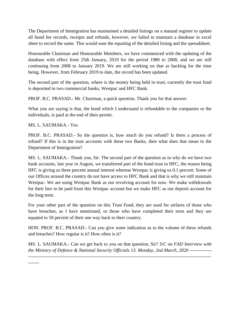The Department of Immigration has maintained a detailed listings on a manual register to update all bond fee records, receipts and refunds, however, we failed to maintain a database in excel sheet to record the same. This would ease the equating of the detailed listing and the spreadsheet.

Honourable Chairman and Honourable Members, we have commenced with the updating of the database with effect from 25th January, 2019 for the period 1980 to 2008, and we are still continuing from 2008 to January 2019. We are still working on that as backlog for the time being. However, from February 2019 to date, the record has been updated.

The second part of the question, where is the money being held in trust; currently the trust fund is deposited in two commercial banks, Westpac and HFC Bank.

PROF. B.C. PRASAD.- Mr. Chairman, a quick question. Thank you for that answer.

What you are saying is that, the bond which I understand is refundable to the companies or the individuals, is paid at the end of their permit.

MS. L. SAUMAKA.- Yes.

PROF. B.C. PRASAD.- So the question is, how much do you refund? Is there a process of refund? If this is in the trust accounts with these two Banks, then what does that mean to the Department of Immigration?

MS. L. SAUMAKA.- Thank you, Sir. The second part of the question as to why do we have two bank accounts, last year in August, we transferred part of the bond trust to HFC, the reason being HFC is giving us three percent annual interest whereas Westpac is giving us 0.1 percent. Some of our Offices around the country do not have access to HFC Bank and that is why we still maintain Westpac. We are using Westpac Bank as our revolving account for now. We make withdrawals for their fare to be paid from this Westpac account but we make HFC as our deposit account for the long term.

For your other part of the question on this Trust Fund, they are used for airfares of those who have breaches, as I have mentioned, or those who have completed their term and they are equated to 50 percent of their one way back to their country.

HON. PROF. B.C. PRASAD.- Can you give some indication as to the volume of these refunds and breaches? How regular is it? How often is it?

MS. L. SAUMAKA.- Can we get back to you on that question, Sir? *S/C on FAD Interview with*  the Ministry of Defence & National Security Officials 13. Monday, 2nd March, 2020 -----------------------------------------------------------------------------------------------------------------------------------

-------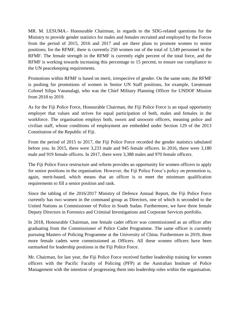MR. M. LESUMA.- Honourable Chairman, in regards to the SDG-related questions for the Ministry to provide gender statistics for males and females recruited and employed by the Forces from the period of 2015, 2016 and 2017 and are there plans to promote women to senior positions; for the RFMF, there is currently 250 women out of the total of 3,549 personnel in the RFMF. The female strength in the RFMF is currently eight percent of the total force, and the RFMF is working towards increasing this percentage to 15 percent, to ensure our compliance to the UN peacekeeping requirements.

Promotions within RFMF is based on merit, irrespective of gender. On the same note, the RFMF is pushing for promotions of women in Senior UN Staff positions, for example, Lieutenant Colonel Silipa Vananalagi, who was the Chief Military Planning Officer for UNDOF Mission from 2018 to 2019.

As for the Fiji Police Force, Honourable Chairman, the Fiji Police Force is an equal opportunity employer that values and strives for equal participation of both, males and females in the workforce. The organisation employs both, sworn and unsworn officers, meaning police and civilian staff, whose conditions of employment are embedded under Section 129 of the 2013 Constitution of the Republic of Fiji.

From the period of 2015 to 2017, the Fiji Police Force recorded the gender statistics tabulated before you. In 2015, there were 3,233 male and 945 female officers. In 2016, there were 3,180 male and 919 female officers. In 2017, there were 3,388 males and 970 female officers.

The Fiji Police Force restructure and reform provides an opportunity for women officers to apply for senior positions in the organisation. However, the Fiji Police Force's policy on promotion is, again, merit-based, which means that an officer is to meet the minimum qualification requirements to fill a senior position and rank.

Since the tabling of the 2016/2017 Ministry of Defence Annual Report, the Fiji Police Force currently has two women in the command group as Directors, one of which is seconded to the United Nations as Commissioner of Police in South Sudan. Furthermore, we have three female Deputy Directors in Forensics and Criminal Investigations and Corporate Services portfolio.

In 2018, Honourable Chairman, one female cadet officer was commissioned as an officer after graduating from the Commissioner of Police Cadet Programme. The same officer is currently pursuing Masters of Policing Programme at the University of China. Furthermore in 2019, three more female cadets were commissioned as Officers. All these women officers have been earmarked for leadership positions in the Fiji Police Force.

Mr. Chairman, for last year, the Fiji Police Force received further leadership training for women officers with the Pacific Faculty of Policing (PFP) at the Australian Institute of Police Management with the intention of progressing them into leadership roles within the organisation.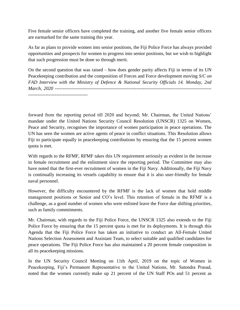Five female senior officers have completed the training, and another five female senior officers are earmarked for the same training this year.

As far as plans to provide women into senior positions, the Fiji Police Force has always provided opportunities and prospects for women to progress into senior positions, but we wish to highlight that such progression must be done so through merit.

On the second question that was raised – how does gender parity affects Fiji in terms of its UN Peacekeeping contribution and the composition of Forces and Force development moving *S/C on FAD Interview with the Ministry of Defence & National Security Officials 14. Monday, 2nd March, 2020* ----------------------------------------------------------------------------------------------------

forward from the reporting period till 2020 and beyond; Mr. Chairman, the United Nations' mandate under the United Nations Security Council Resolution (UNSCR) 1325 on Women, Peace and Security, recognises the importance of women participation in peace operations. The UN has seen the women are active agents of peace in conflict situations. This Resolution allows Fiji to participate equally in peacekeeping contributions by ensuring that the 15 percent women quota is met.

With regards to the RFMF, RFMF takes this UN requirement seriously as evident in the increase in female recruitment and the enlistment since the reporting period. The Committee may also have noted that the first-ever recruitment of women in the Fiji Navy. Additionally, the Fiji Navy is continually increasing its vessels capability to ensure that it is also user-friendly for female naval personnel.

However, the difficulty encountered by the RFMF is the lack of women that hold middle management positions or Senior and CO's level. This retention of female in the RFMF is a challenge, as a good number of women who were enlisted leave the Force due shifting priorities, such as family commitments.

Mr. Chairman, with regards to the Fiji Police Force, the UNSCR 1325 also extends to the Fiji Police Force by ensuring that the 15 percent quota is met for its deployments. It is through this Agenda that the Fiji Police Force has taken an initiative to conduct an All-Female United Nations Selection Assessment and Assistant Team, to select suitable and qualified candidates for peace operations. The Fiji Police Force has also maintained a 20 percent female composition in all its peacekeeping missions.

In the UN Security Council Meeting on 11th April, 2019 on the topic of Women in Peacekeeping, Fiji's Permanent Representative to the United Nations, Mr. Satendra Prasad, noted that the women currently make up 21 percent of the UN Staff POs and 51 percent as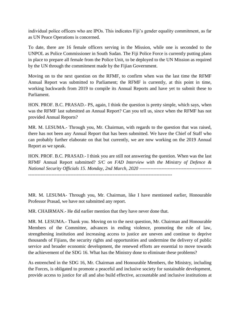individual police officers who are IPOs. This indicates Fiji's gender equality commitment, as far as UN Peace Operations is concerned.

To date, there are 16 female officers serving in the Mission, while one is seconded to the UNPOL as Police Commissioner in South Sudan. The Fiji Police Force is currently putting plans in place to prepare all female from the Police Unit, to be deployed to the UN Mission as required by the UN through the commitment made by the Fijian Government.

Moving on to the next question on the RFMF, to confirm when was the last time the RFMF Annual Report was submitted to Parliament; the RFMF is currently, at this point in time, working backwards from 2019 to compile its Annual Reports and have yet to submit these to Parliament.

HON. PROF. B.C. PRASAD.- PS, again, I think the question is pretty simple, which says, when was the RFMF last submitted an Annual Report? Can you tell us, since when the RFMF has not provided Annual Reports?

MR. M. LESUMA.- Through you, Mr. Chairman, with regards to the question that was raised, there has not been any Annual Report that has been submitted. We have the Chief of Staff who can probably further elaborate on that but currently, we are now working on the 2019 Annual Report as we speak.

HON. PROF. B.C. PRASAD.- I think you are still not answering the question. When was the last RFMF Annual Report submitted? *S/C on FAD Interview with the Ministry of Defence & National Security Officials 15. Monday, 2nd March, 2020* ----------------------------------------------

--------------------------------------------------------------------------------------------

MR. M. LESUMA- Through you, Mr. Chairman, like I have mentioned earlier, Honourable Professor Prasad, we have not submitted any report.

MR. CHAIRMAN.- He did earlier mention that they have never done that.

MR. M. LESUMA.- Thank you. Moving on to the next question, Mr. Chairman and Honourable Members of the Committee, advances in ending violence, promoting the rule of law, strengthening institution and increasing access to justice are uneven and continue to deprive thousands of Fijians, the security rights and opportunities and undermine the delivery of public service and broader economic development, the renewed efforts are essential to move towards the achievement of the SDG 16. What has the Ministry done to eliminate these problems?

As entrenched in the SDG 16, Mr. Chairman and Honourable Members, the Ministry, including the Forces, is obligated to promote a peaceful and inclusive society for sustainable development, provide access to justice for all and also build effective, accountable and inclusive institutions at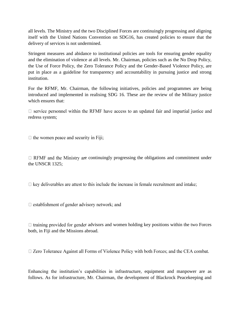all levels. The Ministry and the two Disciplined Forces are continuingly progressing and aligning itself with the United Nations Convention on SDG16, has created policies to ensure that the delivery of services is not undermined.

Stringent measures and abidance to institutional policies are tools for ensuring gender equality and the elimination of violence at all levels. Mr. Chairman, policies such as the No Drop Policy, the Use of Force Policy, the Zero Tolerance Policy and the Gender-Based Violence Policy, are put in place as a guideline for transparency and accountability in pursuing justice and strong institution.

For the RFMF, Mr. Chairman, the following initiatives, policies and programmes are being introduced and implemented in realising SDG 16. These are the review of the Military justice which ensures that:

 $\Box$  service personnel within the RFMF have access to an updated fair and impartial justice and redress system;

 $\Box$  the women peace and security in Fiji;

 $\Box$  RFMF and the Ministry are continuingly progressing the obligations and commitment under the UNSCR 1325;

 $\Box$  key deliverables are attest to this include the increase in female recruitment and intake;

 $\Box$  establishment of gender advisory network; and

 $\Box$  training provided for gender advisors and women holding key positions within the two Forces both, in Fiji and the Missions abroad.

□ Zero Tolerance Against all Forms of Violence Policy with both Forces; and the CEA combat.

Enhancing the institution's capabilities in infrastructure, equipment and manpower are as follows. As for infrastructure, Mr. Chairman, the development of Blackrock Peacekeeping and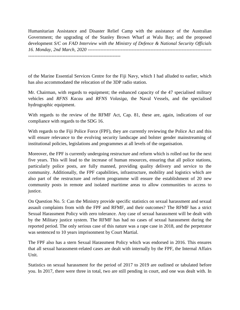Humanitarian Assistance and Disaster Relief Camp with the assistance of the Australian Government; the upgrading of the Stanley Brown Wharf at Walu Bay; and the proposed development *S/C on FAD Interview with the Ministry of Defence & National Security Officials 16. Monday, 2nd March, 2020* ------------------------------------------------------------------------------- -----------------------------------------------------------

of the Marine Essential Services Centre for the Fiji Navy, which I had alluded to earlier, which has also accommodated the relocation of the 3DP radio station.

Mr. Chairman, with regards to equipment; the enhanced capacity of the 47 specialised military vehicles and *RFNS Kacau* and *RFNS Volasiga*, the Naval Vessels, and the specialised hydrographic equipment.

With regards to the review of the RFMF Act, Cap. 81, these are, again, indications of our compliance with regards to the SDG 16.

With regards to the Fiji Police Force (FPF), they are currently reviewing the Police Act and this will ensure relevance to the evolving security landscape and bolster gender mainstreaming of institutional policies, legislations and programmes at all levels of the organisation.

Moreover, the FPF is currently undergoing restructure and reform which is rolled out for the next five years. This will lead to the increase of human resources, ensuring that all police stations, particularly police posts, are fully manned, providing quality delivery and service to the community. Additionally, the FPF capabilities, infrastructure, mobility and logistics which are also part of the restructure and reform programme will ensure the establishment of 20 new community posts in remote and isolated maritime areas to allow communities to access to justice.

On Question No. 5: Can the Ministry provide specific statistics on sexual harassment and sexual assault complaints from with the FPF and RFMF, and their outcomes? The RFMF has a strict Sexual Harassment Policy with zero tolerance. Any case of sexual harassment will be dealt with by the Military justice system. The RFMF has had no cases of sexual harassment during the reported period. The only serious case of this nature was a rape case in 2018, and the perpetrator was sentenced to 10 years imprisonment by Court Martial.

The FPF also has a stern Sexual Harassment Policy which was endorsed in 2016. This ensures that all sexual harassment-related cases are dealt with internally by the FPF, the Internal Affairs Unit.

Statistics on sexual harassment for the period of 2017 to 2019 are outlined or tabulated before you. In 2017, there were three in total, two are still pending in court, and one was dealt with. In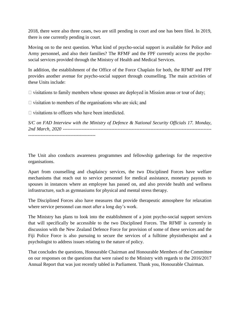2018, there were also three cases, two are still pending in court and one has been filed. In 2019, there is one currently pending in court.

Moving on to the next question. What kind of psycho-social support is available for Police and Army personnel, and also their families? The RFMF and the FPF currently access the psychosocial services provided through the Ministry of Health and Medical Services.

In addition, the establishment of the Office of the Force Chaplain for both, the RFMF and FPF provides another avenue for psycho-social support through counselling. The main activities of these Units include:

 $\Box$  visitations to family members whose spouses are deployed in Mission areas or tour of duty;

 $\Box$  visitation to members of the organisations who are sick; and

 $\Box$  visitations to officers who have been interdicted.

*S/C on FAD Interview with the Ministry of Defence & National Security Officials 17. Monday, 2nd March, 2020* -----------------------------------------------------------------------------------------------

The Unit also conducts awareness programmes and fellowship gatherings for the respective organisations.

Apart from counselling and chaplaincy services, the two Disciplined Forces have welfare mechanisms that reach out to service personnel for medical assistance, monetary payouts to spouses in instances where an employee has passed on, and also provide health and wellness infrastructure, such as gymnasiums for physical and mental stress therapy.

The Disciplined Forces also have measures that provide therapeutic atmosphere for relaxation where service personnel can meet after a long day's work.

The Ministry has plans to look into the establishment of a joint psycho-social support services that will specifically be accessible to the two Disciplined Forces. The RFMF is currently in discussion with the New Zealand Defence Force for provision of some of these services and the Fiji Police Force is also pursuing to secure the services of a fulltime physiotherapist and a psychologist to address issues relating to the nature of policy.

That concludes the questions, Honourable Chairman and Honourable Members of the Committee on our responses on the questions that were raised to the Ministry with regards to the 2016/2017 Annual Report that was just recently tabled in Parliament. Thank you, Honourable Chairman.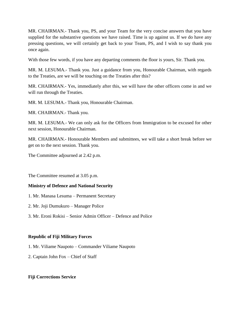MR. CHAIRMAN.- Thank you, PS, and your Team for the very concise answers that you have supplied for the substantive questions we have raised. Time is up against us. If we do have any pressing questions, we will certainly get back to your Team, PS, and I wish to say thank you once again.

With those few words, if you have any departing comments the floor is yours, Sir. Thank you.

MR. M. LESUMA.- Thank you. Just a guidance from you, Honourable Chairman, with regards to the Treaties, are we will be touching on the Treaties after this?

MR. CHAIRMAN.- Yes, immediately after this, we will have the other officers come in and we will run through the Treaties.

MR. M. LESUMA.- Thank you, Honourable Chairman.

MR. CHAIRMAN.- Thank you.

MR. M. LESUMA.- We can only ask for the Officers from Immigration to be excused for other next session, Honourable Chairman.

MR. CHAIRMAN.- Honourable Members and submittees, we will take a short break before we get on to the next session. Thank you.

The Committee adjourned at 2.42 p.m.

The Committee resumed at 3.05 p.m.

#### **Ministry of Defence and National Security**

- 1. Mr. Manasa Lesuma Permanent Secretary
- 2. Mr. Joji Dumukuro Manager Police
- 3. Mr. Eroni Rokisi Senior Admin Officer Defence and Police

#### **Republic of Fiji Military Forces**

- 1. Mr. Viliame Naupoto Commander Viliame Naupoto
- 2. Captain John Fox Chief of Staff

#### **Fiji Corrections Service**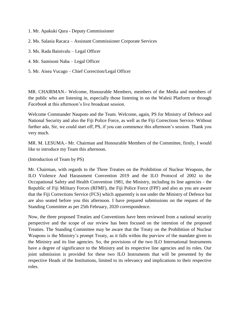- 1. Mr. Apakuki Qura Deputy Commissioner
- 2. Ms. Salasia Racaca Assistant Commissioner Corporate Services
- 3. Ms. Rada Bainivalu Legal Officer
- 4. Mr. Samisoni Naba Legal Officer
- 5. Mr. Aisea Vucago Chief Correction/Legal Officer

MR. CHAIRMAN.- Welcome, Honourable Members, members of the Media and members of the public who are listening in, especially those listening in on the Walesi Platform or through *Facebook* at this afternoon's live broadcast session.

Welcome Commander Naupoto and the Team. Welcome, again, PS for Ministry of Defence and National Security and also the Fiji Police Force, as well as the Fiji Corrections Service. Without further ado, Sir, we could start off, PS, if you can commence this afternoon's session. Thank you very much.

MR. M. LESUMA.- Mr. Chairman and Honourable Members of the Committee, firstly, I would like to introduce my Team this afternoon.

(Introduction of Team by PS)

Mr. Chairman, with regards to the Three Treaties on the Prohibition of Nuclear Weapons, the ILO Violence And Harassment Convention 2019 and the ILO Protocol of 2002 to the Occupational Safety and Health Convention 1981, the Ministry, including its line agencies - the Republic of Fiji Military Forces (RFMF), the Fiji Police Force (FPF) and also as you are aware that the Fiji Corrections Service (FCS) which apparently is not under the Ministry of Defence but are also seated before you this afternoon. I have prepared submissions on the request of the Standing Committee as per 25th February, 2020 correspondence.

Now, the three proposed Treaties and Conventions have been reviewed from a national security perspective and the scope of our review has been focused on the intention of the proposed Treaties. The Standing Committee may be aware that the Treaty on the Prohibition of Nuclear Weapons is the Ministry's prompt Treaty, as it falls within the purview of the mandate given to the Ministry and its line agencies. So, the provisions of the two ILO International Instruments have a degree of significance to the Ministry and its respective line agencies and its roles. Our joint submission is provided for these two ILO Instruments that will be presented by the respective Heads of the Institutions, limited to its relevancy and implications to their respective roles.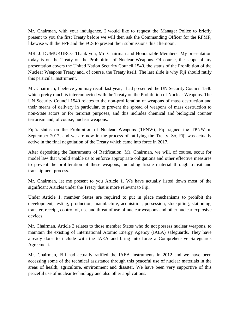Mr. Chairman, with your indulgence, I would like to request the Manager Police to briefly present to you the first Treaty before we will then ask the Commanding Officer for the RFMF, likewise with the FPF and the FCS to present their submissions this afternoon.

MR. J. DUMUKURO.- Thank you, Mr. Chairman and Honourable Members. My presentation today is on the Treaty on the Prohibition of Nuclear Weapons. Of course, the scope of my presentation covers the United Nation Security Council 1540, the status of the Prohibition of the Nuclear Weapons Treaty and, of course, the Treaty itself. The last slide is why Fiji should ratify this particular Instrument.

Mr. Chairman, I believe you may recall last year, I had presented the UN Security Council 1540 which pretty much is interconnected with the Treaty on the Prohibition of Nuclear Weapons. The UN Security Council 1540 relates to the non-proliferation of weapons of mass destruction and their means of delivery in particular, to prevent the spread of weapons of mass destruction to non-State actors or for terrorist purposes, and this includes chemical and biological counter terrorism and, of course, nuclear weapons.

Fiji's status on the Prohibition of Nuclear Weapons (TPNW); Fiji signed the TPNW in September 2017, and we are now in the process of ratifying the Treaty. So, Fiji was actually active in the final negotiation of the Treaty which came into force in 2017.

After depositing the Instruments of Ratification, Mr. Chairman, we will, of course, scout for model law that would enable us to enforce appropriate obligations and other effective measures to prevent the proliferation of these weapons, including fissile material through transit and transhipment process.

Mr. Chairman, let me present to you Article 1. We have actually listed down most of the significant Articles under the Treaty that is more relevant to Fiji.

Under Article 1, member States are required to put in place mechanisms to prohibit the development, testing, production, manufacture, acquisition, possession, stockpiling, stationing, transfer, receipt, control of, use and threat of use of nuclear weapons and other nuclear explosive devices.

Mr. Chairman, Article 3 relates to those member States who do not possess nuclear weapons, to maintain the existing of International Atomic Energy Agency (IAEA) safeguards. They have already done to include with the IAEA and bring into force a Comprehensive Safeguards Agreement.

Mr. Chairman, Fiji had actually ratified the IAEA Instruments in 2012 and we have been accessing some of the technical assistance through this peaceful use of nuclear materials in the areas of health, agriculture, environment and disaster. We have been very supportive of this peaceful use of nuclear technology and also other applications.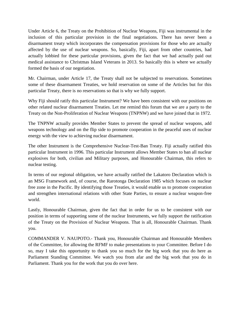Under Article 6, the Treaty on the Prohibition of Nuclear Weapons, Fiji was instrumental in the inclusion of this particular provision in the final negotiations. There has never been a disarmament treaty which incorporates the compensation provisions for those who are actually affected by the use of nuclear weapons. So, basically, Fiji, apart from other countries, had actually lobbied for these particular provisions, given the fact that we had actually paid out medical assistance to Christmas Island Veterans in 2013. So basically this is where we actually formed the basis of our negotiation.

Mr. Chairman, under Article 17, the Treaty shall not be subjected to reservations. Sometimes some of these disarmament Treaties, we hold reservation on some of the Articles but for this particular Treaty, there is no reservations so that is why we fully support.

Why Fiji should ratify this particular Instrument? We have been consistent with our positions on other related nuclear disarmament Treaties. Let me remind this forum that we are a party to the Treaty on the Non-Proliferation of Nuclear Weapons (TNPNW) and we have joined that in 1972.

The TNPNW actually provides Member States to prevent the spread of nuclear weapons, add weapons technology and on the flip side to promote cooperation in the peaceful uses of nuclear energy with the view to achieving nuclear disarmament.

The other Instrument is the Comprehensive Nuclear-Test-Ban Treaty. Fiji actually ratified this particular Instrument in 1996. This particular Instrument allows Member States to ban all nuclear explosives for both, civilian and Military purposes, and Honourable Chairman, this refers to nuclear testing.

In terms of our regional obligation, we have actually ratified the Lakatoro Declaration which is an MSG Framework and, of course, the Rarotonga Declaration 1985 which focuses on nuclear free zone in the Pacific. By identifying those Treaties, it would enable us to promote cooperation and strengthen international relations with other State Parties, to ensure a nuclear weapon-free world.

Lastly, Honourable Chairman, given the fact that in order for us to be consistent with our position in terms of supporting some of the nuclear Instruments, we fully support the ratification of the Treaty on the Provision of Nuclear Weapons. That is all, Honourable Chairman. Thank you.

COMMANDER V. NAUPOTO.- Thank you, Honourable Chairman and Honourable Members of the Committee, for allowing the RFMF to make presentations to your Committee. Before I do so, may I take this opportunity to thank you so much for the big work that you do here as Parliament Standing Committee. We watch you from afar and the big work that you do in Parliament. Thank you for the work that you do over here.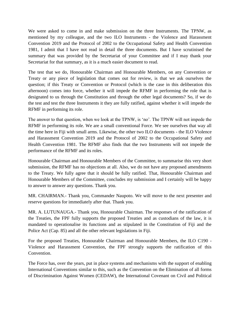We were asked to come in and make submission on the three Instruments. The TPNW, as mentioned by my colleague, and the two ILO Instruments - the Violence and Harassment Convention 2019 and the Protocol of 2002 to the Occupational Safety and Health Convention 1981, I admit that I have not read in detail the three documents. But I have scrutinised the summary that was provided by the Secretariat of your Committee and if I may thank your Secretariat for that summary, as it is a much easier document to read.

The test that we do, Honourable Chairman and Honourable Members, on any Convention or Treaty or any piece of legislation that comes out for review, is that we ask ourselves the question; if this Treaty or Convention or Protocol (which is the case in this deliberation this afternoon) comes into force, whether it will impede the RFMF in performing the role that is designated to us through the Constitution and through the other legal documents? So, if we do the test and test the three Instruments it they are fully ratified, against whether it will impede the RFMF in performing its role.

The answer to that question, when we look at the TPNW, is 'no'. The TPNW will not impede the RFMF in performing its role. We are a small conventional Force. We see ourselves that way all the time here in Fiji with small arms. Likewise, the other two ILO documents - the ILO Violence and Harassment Convention 2019 and the Protocol of 2002 to the Occupational Safety and Health Convention 1981. The RFMF also finds that the two Instruments will not impede the performance of the RFMF and its roles.

Honourable Chairman and Honourable Members of the Committee, to summarise this very short submission, the RFMF has no objections at all. Also, we do not have any proposed amendments to the Treaty. We fully agree that it should be fully ratified. That, Honourable Chairman and Honourable Members of the Committee, concludes my submission and I certainly will be happy to answer to answer any questions. Thank you.

MR. CHAIRMAN.- Thank you, Commander Naupoto. We will move to the next presenter and reserve questions for immediately after that. Thank you.

MR. A. LUTUNAUGA.- Thank you, Honourable Chairman. The responses of the ratification of the Treaties, the FPF fully supports the proposed Treaties and as custodians of the law, it is mandated to operationalise its functions and as stipulated in the Constitution of Fiji and the Police Act (Cap. 85) and all the other relevant legislations in Fiji.

For the proposed Treaties, Honourable Chairman and Honourable Members, the ILO C190 - Violence and Harassment Convention, the FPF strongly supports the ratification of this Convention.

The Force has, over the years, put in place systems and mechanisms with the support of enabling International Conventions similar to this, such as the Convention on the Elimination of all forms of Discrimination Against Women (CEDAW), the International Covenant on Civil and Political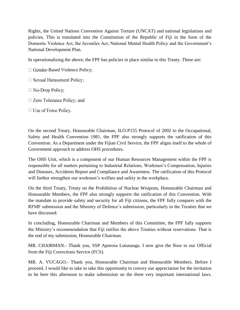Rights, the United Nations Convention Against Torture (UNCAT) and national legislations and policies. This is translated into the Constitution of the Republic of Fiji in the form of the Domestic Violence Act, the Juveniles Act, National Mental Health Policy and the Government's National Development Plan.

In operationalising the above, the FPF has policies in place similar to this Treaty. These are:

- $\Box$  Gender-Based Violence Policy;
- □ Sexual Harassment Policy;
- $\Box$  No-Drop Policy;
- $\Box$  Zero Tolerance Policy; and
- $\Box$  Use of Force Policy.

On the second Treaty, Honourable Chairman, ILO-P155 Protocol of 2002 to the Occupational, Safety and Health Convention 1981, the FPF also strongly supports the ratification of this Convention. As a Department under the Fijian Civil Service, the FPF aligns itself to the whole of Government approach to address OHS procedures.

The OHS Unit, which is a component of our Human Resources Management within the FPF is responsible for all matters pertaining to Industrial Relations, Workmen's Compensation, Injuries and Diseases, Accidents Report and Compliance and Awareness. The ratification of this Protocol will further strengthen our workmen's welfare and safety in the workplace.

On the third Treaty, Treaty on the Prohibition of Nuclear Weapons, Honourable Chairman and Honourable Members, the FPF also strongly supports the ratification of this Convention. With the mandate to provide safety and security for all Fiji citizens, the FPF fully conquers with the RFMF submission and the Ministry of Defence's submission, particularly in the Treaties that we have discussed.

In concluding, Honourable Chairman and Members of this Committee, the FPF fully supports the Ministry's recommendation that Fiji ratifies the above Treaties without reservations. That is the end of my submission, Honourable Chairman.

MR. CHAIRMAN.- Thank you, SSP Aporosa Lutunauga. I now give the floor to our Official from the Fiji Corrections Service (FCS).

MR. A. VUCAGO.- Thank you, Honourable Chairman and Honourable Members. Before I proceed, I would like to take to take this opportunity to convey our appreciation for the invitation to be here this afternoon to make submission on the three very important international laws.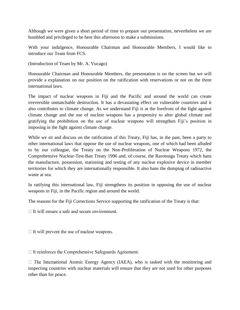Although we were given a short period of time to prepare our presentation, nevertheless we are humbled and privileged to be here this afternoon to make a submissions.

With your indulgence, Honourable Chairman and Honourable Members, I would like to introduce our Team from FCS.

(Introduction of Team by Mr. A. Vucago)

Honourable Chairman and Honourable Members, the presentation is on the screen but we will provide a explanation on our position on the ratification with reservations or not on the three international laws.

The impact of nuclear weapons in Fiji and the Pacific and around the world can create irreversible unmatchable destruction. It has a devastating effect on vulnerable countries and it also contributes to climate change. As we understand Fiji is at the forefront of the fight against climate change and the use of nuclear weapons has a propensity to alter global climate and gratifying the prohibition on the use of nuclear weapons will strengthen Fiji's position in imposing in the fight against climate change.

While we sit and discuss on the ratification of this Treaty, Fiji has, in the past, been a party to other international laws that oppose the use of nuclear weapons, one of which had been alluded to by our colleague, the Treaty on the Non-Proliferation of Nuclear Weapons 1972, the Comprehensive Nuclear-Test-Ban Treaty 1996 and, of course, the Rarotonga Treaty which bans the manufacture, possession, stationing and testing of any nuclear explosive device in member territories for which they are internationally responsible. It also bans the dumping of radioactive waste at sea.

In ratifying this international law, Fiji strengthens its position in opposing the use of nuclear weapons in Fiji, in the Pacific region and around the world.

The reasons for the Fiji Corrections Service supporting the ratification of the Treaty is that:

 $\Box$  It will ensure a safe and secure environment.

 $\Box$  It will prevent the use of nuclear weapons.

 $\Box$  It reinforces the Comprehensive Safeguards Agreement.

 $\Box$  The International Atomic Energy Agency (IAEA), who is tasked with the monitoring and inspecting countries with nuclear materials will ensure that they are not used for other purposes other than for peace.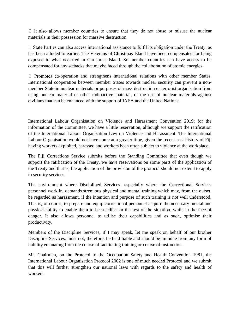$\Box$  It also allows member countries to ensure that they do not abuse or misuse the nuclear materials in their possession for massive destruction.

 $\Box$  State Parties can also access international assistance to fulfil its obligation under the Treaty, as has been alluded to earlier. The Veterans of Christmas Island have been compensated for being exposed to what occurred in Christmas Island. So member countries can have access to be compensated for any setbacks that maybe faced through the collaboration of atomic energies.

 $\Box$  Promotes co-operation and strengthens international relations with other member States. International cooperation between member States towards nuclear security can prevent a nonmember State in nuclear materials or purposes of mass destruction or terrorist organisation from using nuclear material or other radioactive material, or the use of nuclear materials against civilians that can be enhanced with the support of IAEA and the United Nations.

International Labour Organisation on Violence and Harassment Convention 2019; for the information of the Committee, we have a little reservation, although we support the ratification of the International Labour Organisation Law on Violence and Harassment. The International Labour Organisation would not have come at a greater time, given the recent past history of Fiji having workers exploited, harassed and workers been often subject to violence at the workplace.

The Fiji Corrections Service submits before the Standing Committee that even though we support the ratification of the Treaty, we have reservations on some parts of the application of the Treaty and that is, the application of the provision of the protocol should not extend to apply to security services.

The environment where Disciplined Services, especially where the Correctional Services personnel work in, demands strenuous physical and mental training which may, from the outset, be regarded as harassment, if the intention and purpose of such training is not well understood. This is, of course, to prepare and equip correctional personnel acquire the necessary mental and physical ability to enable them to be steadfast in the rest of the situation, while in the face of danger. It also allows personnel to utilise their capabilities and as such, optimise their productivity.

Members of the Discipline Services, if I may speak, let me speak on behalf of our brother Discipline Services, must not, therefore, be held liable and should be immune from any form of liability emanating from the course of facilitating training or course of instruction.

Mr. Chairman, on the Protocol to the Occupation Safety and Health Convention 1981, the International Labour Organisation Protocol 2002 is one of much needed Protocol and we submit that this will further strengthen our national laws with regards to the safety and health of workers.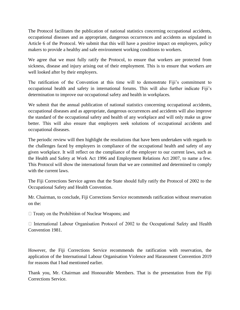The Protocol facilitates the publication of national statistics concerning occupational accidents, occupational diseases and as appropriate, dangerous occurrences and accidents as stipulated in Article 6 of the Protocol. We submit that this will have a positive impact on employers, policy makers to provide a healthy and safe environment working conditions to workers.

We agree that we must fully ratify the Protocol, to ensure that workers are protected from sickness, disease and injury arising out of their employment. This is to ensure that workers are well looked after by their employers.

The ratification of the Convention at this time will to demonstrate Fiji's commitment to occupational health and safety in international forums. This will also further indicate Fiji's determination to improve our occupational safety and health in workplaces.

We submit that the annual publication of national statistics concerning occupational accidents, occupational diseases and as appropriate, dangerous occurrences and accidents will also improve the standard of the occupational safety and health of any workplace and will only make us grow better. This will also ensure that employers seek solutions of occupational accidents and occupational diseases.

The periodic review will then highlight the resolutions that have been undertaken with regards to the challenges faced by employers in compliance of the occupational health and safety of any given workplace. It will reflect on the compliance of the employer to our current laws, such as the Health and Safety at Work Act 1996 and Employment Relations Act 2007, to name a few. This Protocol will show the international forum that we are committed and determined to comply with the current laws.

The Fiji Corrections Service agrees that the State should fully ratify the Protocol of 2002 to the Occupational Safety and Health Convention.

Mr. Chairman, to conclude, Fiji Corrections Service recommends ratification without reservation on the:

 $\Box$  Treaty on the Prohibition of Nuclear Weapons; and

 $\Box$  International Labour Organisation Protocol of 2002 to the Occupational Safety and Health Convention 1981.

However, the Fiji Corrections Service recommends the ratification with reservation, the application of the International Labour Organisation Violence and Harassment Convention 2019 for reasons that I had mentioned earlier.

Thank you, Mr. Chairman and Honourable Members. That is the presentation from the Fiji Corrections Service.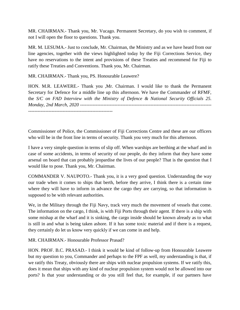MR. CHAIRMAN.- Thank you, Mr. Vucago. Permanent Secretary, do you wish to comment, if not I will open the floor to questions. Thank you.

MR. M. LESUMA.- Just to conclude, Mr. Chairman, the Ministry and as we have heard from our line agencies, together with the views highlighted today by the Fiji Corrections Service, they have no reservations to the intent and provisions of these Treaties and recommend for Fiji to ratify these Treaties and Conventions. Thank you, Mr. Chairman.

MR. CHAIRMAN.- Thank you, PS. Honourable Leawere?

HON. M.R. LEAWERE.- Thank you ,Mr. Chairman. I would like to thank the Permanent Secretary for Defence for a middle line up this afternoon. We have the Commander of RFMF, the *S/C on FAD Interview with the Ministry of Defence & National Security Officials 25. Monday, 2nd March, 2020* ------------------------------------------------------------------------------------ ------------------------------------------------------

Commissioner of Police, the Commissioner of Fiji Corrections Centre and these are our officers who will be in the front line in terms of security. Thank you very much for this afternoon.

I have a very simple question in terms of slip off. When warships are berthing at the wharf and in case of some accidents, in terms of security of our people, do they inform that they have some arsenal on board that can probably jeopardise the lives of our people? That is the question that I would like to pose. Thank you, Mr. Chairman.

COMMANDER V. NAUPOTO.- Thank you, it is a very good question. Understanding the way our trade when it comes to ships that berth, before they arrive, I think there is a certain time where they will have to inform in advance the cargo they are carrying, so that information is supposed to be with relevant authorities.

We, in the Military through the Fiji Navy, track very much the movement of vessels that come. The information on the cargo, I think, is with Fiji Ports through their agent. If there is a ship with some mishap at the wharf and it is sinking, the cargo inside should be known already as to what is still in and what is being taken ashore. If it has some toxic material and if there is a request, they certainly do let us know very quickly if we can come in and help.

MR. CHAIRMAN.- Honourable Professor Prasad?

HON. PROF. B.C. PRASAD.- I think it would be kind of follow-up from Honourable Leawere but my question to you, Commander and perhaps to the FPF as well, my understanding is that, if we ratify this Treaty, obviously there are ships with nuclear propulsion systems. If we ratify this, does it mean that ships with any kind of nuclear propulsion system would not be allowed into our ports? Is that your understanding or do you still feel that, for example, if our partners have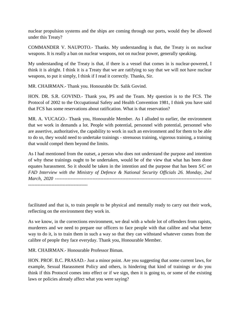nuclear propulsion systems and the ships are coming through our ports, would they be allowed under this Treaty?

COMMANDER V. NAUPOTO.- Thanks. My understanding is that, the Treaty is on nuclear weapons. It is really a ban on nuclear weapons, not on nuclear power, generally speaking.

My understanding of the Treaty is that, if there is a vessel that comes in is nuclear-powered, I think it is alright. I think it is a Treaty that we are ratifying to say that we will not have nuclear weapons, to put it simply, I think if I read it correctly. Thanks, Sir.

MR. CHAIRMAN.- Thank you. Honourable Dr. Salik Govind.

HON. DR. S.R. GOVIND.- Thank you, PS and the Team. My question is to the FCS. The Protocol of 2002 to the Occupational Safety and Health Convention 1981, I think you have said that FCS has some reservations about ratification. What is that reservation?

MR. A. VUCAGO.- Thank you, Honourable Member. As I alluded to earlier, the environment that we work in demands a lot. People with potential, personnel with potential, personnel who are assertive, authoritative, the capability to work in such an environment and for them to be able to do so, they would need to undertake trainings - strenuous training, vigorous training, a training that would compel them beyond the limits.

As I had mentioned from the outset, a person who does not understand the purpose and intention of why these trainings ought to be undertaken, would be of the view that what has been done equates harassment. So it should be taken in the intention and the purpose that has been *S/C on FAD Interview with the Ministry of Defence & National Security Officials 26. Monday, 2nd March, 2020* ---------------------------------------------------------------------------------------------------- --------------------------------------

facilitated and that is, to train people to be physical and mentally ready to carry out their work, reflecting on the environment they work in.

As we know, in the corrections environment, we deal with a whole lot of offenders from rapists, murderers and we need to prepare our officers to face people with that calibre and what better way to do it, is to train them in such a way so that they can withstand whatever comes from the calibre of people they face everyday. Thank you, Honourable Member.

MR. CHAIRMAN.- Honourable Professor Biman.

HON. PROF. B.C. PRASAD.- Just a minor point. Are you suggesting that some current laws, for example, Sexual Harassment Policy and others, is hindering that kind of trainings or do you think if this Protocol comes into effect or if we sign, then it is going to, or some of the existing laws or policies already affect what you were saying?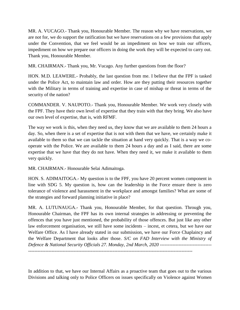MR. A. VUCAGO.- Thank you, Honourable Member. The reason why we have reservations, we are not for, we do support the ratification but we have reservations on a few provisions that apply under the Convention, that we feel would be an impediment on how we train our officers, impediment on how we prepare our officers in doing the work they will be expected to carry out. Thank you, Honourable Member.

MR. CHAIRMAN.- Thank you, Mr. Vucago. Any further questions from the floor?

HON. M.D. LEAWERE.- Probably, the last question from me. I believe that the FPF is tasked under the Police Act, to maintain law and order. How are they putting their resources together with the Military in terms of training and expertise in case of mishap or threat in terms of the security of the nation?

COMMANDER. V. NAUPOTO.- Thank you, Honourable Member. We work very closely with the FPF. They have their own level of expertise that they train with that they bring. We also have our own level of expertise, that is, with RFMF.

The way we work is this, when they need us, they know that we are available to them 24 hours a day. So, when there is a set of expertise that is not with them that we have, we certainly make it available to them so that we can tackle the situation at hand very quickly. That is a way we cooperate with the Police. We are available to them 24 hours a day and as I said, there are some expertise that we have that they do not have. When they need it, we make it available to them very quickly.

MR. CHAIRMAN.- Honourable Selai Adimaitoga.

HON. S. ADIMAITOGA.- My question is to the FPF, you have 20 percent women component in line with SDG 5. My question is, how can the leadership in the Force ensure there is zero tolerance of violence and harassment in the workplace and amongst families? What are some of the strategies and forward planning initiative in place?

MR. A. LUTUNAUGA.- Thank you, Honourable Member, for that question. Through you, Honourable Chairman, the FPF has its own internal strategies in addressing or preventing the offences that you have just mentioned, the probability of those offences. But just like any other law enforcement organisation, we still have some incidents – incest, et cetera, but we have our Welfare Office. As I have already stated in our submission, we have our Force Chaplaincy and the Welfare Department that looks after those. *S/C on FAD Interview with the Ministry of Defence & National Security Officials 27. Monday, 2nd March, 2020* --------------------------------- ---------------------------------------------------------------------------------------------------------

In addition to that, we have our Internal Affairs as a proactive team that goes out to the various Divisions and talking only to Police Officers on issues specifically on Violence against Women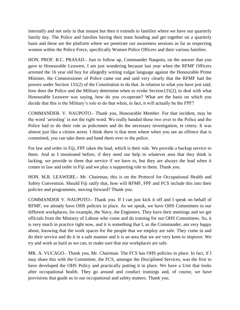internally and not only in that instant but then it extends to families where we have our quarterly family day. The Police and families having their team bonding and get together on a quarterly basis and these are the platform where we penetrate our awareness sessions as far as respecting women within the Police Force, specifically Women Police Officers and their various families.

HON. PROF. B.C. PRASAD.- Just to follow up, Commander Naupoto, on the answer that you gave to Honourable Leawere, I am just wondering because last year when the RFMF Officers arrested the 16 year old boy for allegedly writing vulgar language against the Honourable Prime Minister, the Commissioner of Police came out and said very clearly that the RFMF had the powers under Section 131(2) of the Constitution to do that. In relation to what you have just said, how does the Police and the Military determine when to evoke Section131(2), to deal with what Honourable Leawere was saying, how do you co-operate? What are the basis on which you decide that this is the Military's role to do that when, in fact, it will actually be the FPF?

COMMANDER. V. NAUPOTO.- Thank you, Honourable Member. For that incident, may be the word 'arresting' is not the right word. We really handed those two over to the Police and the Police had to do their role as policemen and do the necessary investigation, et cetera. It was almost just like a citizen arrest. I think there is that term where when you see an offence that is committed, you can take them and hand them over to the police.

For law and order in Fiji, FPF takes the lead, which is their role. We provide a backup service to them. And as I mentioned before, if they need our help in whatever area that they think is lacking, we provide to them that service if we have to, but they are always the lead when it comes to law and order in Fiji and we play a supporting role to them. Thank you.

HON. M.R. LEAWERE.- Mr. Chairman, this is on the Protocol for Occupational Health and Safety Convention. Should Fiji ratify that, how will RFMF, FPF and FCS include this into their policies and programmes, moving forward? Thank you.

COMMANDER V. NAUPOTO.- Thank you. If I can just kick it off and I speak on behalf of RFMF, we already have OHS policies in place. As we speak, we have OHS Committees in our different workplaces, for example, the Navy, the Engineers. They have their meetings and we get officials from the Ministry of Labour who come and do training for our OHS Committees. So, it is very much in practice right now, and it is something that I, as the Commander, am very happy about, knowing that the work spaces for the people that we employ are safe. They come in and do their service and do it in a safe manner and it is an area that we are very keen to improve. We try and work as hard as we can, to make sure that our workplaces are safe.

MR. A. VUCAGO.- Thank you, Mr. Chairman. The FCS has OHS policies in place. In fact, if I may share this with the Committee, the FCS, amongst the Disciplined Services, was the first to have developed the OHS Policy and practically putting it in place. We have a Unit that looks after occupational health. They go around and conduct trainings and, of course, we have provisions that guide us in our occupational and safety matters. Thank you.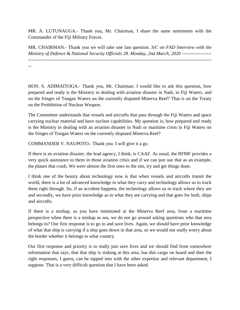MR. A. LUTUNAUGA.- Thank you, Mr. Chairman, I share the same sentiments with the Commander of the Fiji Military Forces.

MR. CHAIRMAN.- Thank you we will take one last question. *S/C on FAD Interview with the Ministry of Defence & National Security Officials 28. Monday, 2nd March, 2020* -------------------

---------------------------------------------------------------------------------------------------------------------

--

HON. S. ADIMAITOGA.- Thank you, Mr. Chairman. I would like to ask this question, how prepared and ready is the Ministry in dealing with aviation disaster in Nadi, in Fiji Waters, and on the fringes of Tongan Waters on the currently disputed Minerva Reef? That is on the Treaty on the Prohibition of Nuclear Weapon.

The Committee understands that vessels and aircrafts that pass through the Fiji Waters and space carrying nuclear material and have nuclear capabilities. My question is; how prepared and ready is the Ministry in dealing with an aviation disaster in Nadi or maritime crisis in Fiji Waters on the fringes of Tongan Waters on the currently disputed Minerva Reef?

COMMANDER V. NAUPOTO.- Thank you. I will give it a go.

If there is an aviation disaster, the lead agency, I think, is CAAF. As usual, the RFMF provides a very quick assistance to them in those aviation crisis and if we can just use that as an example, the planes that crash. We were almost the first ones to the site, try and get things done.

I think one of the beauty about technology now is that when vessels and aircrafts transit the world, there is a lot of advanced knowledge in what they carry and technology allows us to track them right through. So, if an accident happens, the technology allows us to track where they are and secondly, we have prior knowledge as to what they are carrying and that goes for both, ships and aircrafts.

If there is a mishap, as you have mentioned at the Minerva Reef area, from a maritime perspective when there is a mishap as sea, we do not go around asking questions who that area belongs to? Our first response is to go in and save lives. Again, we should have prior knowledge of what that ship is carrying if a ship goes down in that area, so we would not really worry about the border whether it belongs to what country.

Our first response and priority is to really just save lives and we should find from somewhere information that says, that that ship is sinking at this area, has this cargo on board and then the right responses, I guess, can be tapped into with the other expertise and relevant department, I suppose. That is a very difficult question that I have been asked.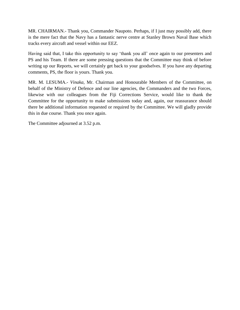MR. CHAIRMAN.- Thank you, Commander Naupoto. Perhaps, if I just may possibly add, there is the mere fact that the Navy has a fantastic nerve centre at Stanley Brown Naval Base which tracks every aircraft and vessel within our EEZ.

Having said that, I take this opportunity to say 'thank you all' once again to our presenters and PS and his Team. If there are some pressing questions that the Committee may think of before writing up our Reports, we will certainly get back to your goodselves. If you have any departing comments, PS, the floor is yours. Thank you.

MR. M. LESUMA.- *Vinaka*, Mr. Chairman and Honourable Members of the Committee, on behalf of the Ministry of Defence and our line agencies, the Commanders and the two Forces, likewise with our colleagues from the Fiji Corrections Service, would like to thank the Committee for the opportunity to make submissions today and, again, our reassurance should there be additional information requested or required by the Committee. We will gladly provide this in due course. Thank you once again.

The Committee adjourned at 3.52 p.m.